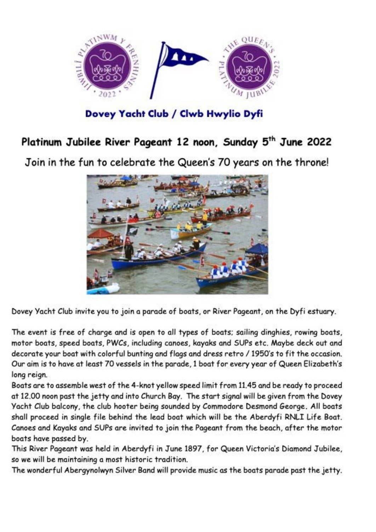

**Dovey Yacht Club / Clwb Hwylio Dyfi** 

## **Platinum Jubilee River Pageant 12 noon, Sunday 5th June 2022**

Join in the fun to celebrate the Queen's 70 years on the throne!



Dovey Yacht Club invite you to join a parade of boats, or River Pageant, on the Dyfi estuary.

The event is free of charge and is open to all types of boats: sailing dinghies, rowing boats, motor boats, speed boats, PWCs, including canoes, kayaks and SUPs etc. Maybe deck out and decorate your boat with colorful bunting *and* flags and dress retro *I* 1950's to fit the occasion. Our aim is to have at least 70 vessels in the parade, 1 boat for every year of Queen Elizabeth's long reign.

Boats are to assemble west of the 4-knot yellow speed limit from 11.45 and be ready to proceed at 12.00 noon past the jetty and into Church Bay. The start signal will be given from the Dovey Yacht Club balcony, the club hooter being sounded by Commodore Desmond George. All boats shall proceed in single file behind the lead boat which will be the Aberdyfi RNLI Life Boat. Canoes and Kayaks and SUPs are invited to join the Pageant from the beach, after the motor boats have passed by.

This River Pageant *was* held in Aberdyfi in June 1897, for Queen Victoria's Diamond Jubilee, so we. will be. maintaining a most historic tradition.

The wonderful Abergynolwyn Silver Band will provide music as the boats parade past the jetty.